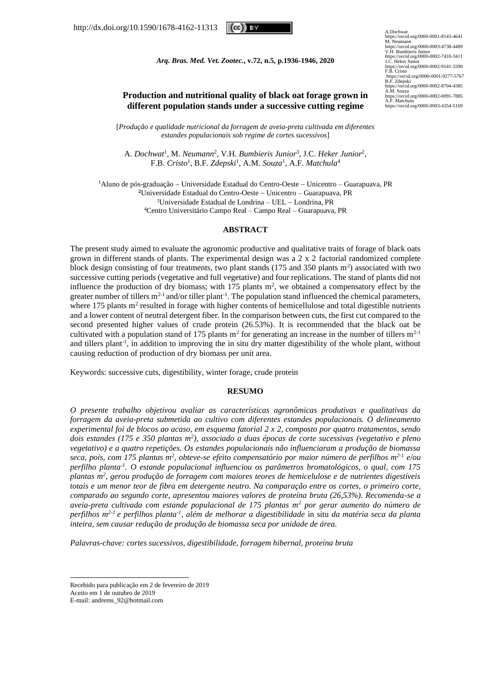(cc)) ev

A.Dochwat<br>https://orcid.org/0000-0001-8143-4641<br>M. Neumann<br>https://orcid.org/0000-0003-4738-4489<br>V.H. Bumbieris Junior<br>https://orcid.org/0000-0002-7410-3411<br>https://orcid.org/000-0002-7410-3411<br>J.C. Heker Junior https://orcid.org/0000-0002-9141-3390 F.B. Cristo https://orcid.org/0000-0001-9277-5767 B.F. Zdepski https://orcid.org/0000-0002-8704-4385 A.M. Souza https://orcid.org/0000-0002-0091-7885 A.F. Matchula https://orcid.org/0000-0003-4354-5169

### *Arq. Bras. Med. Vet. Zootec.***, v.72, n.5, p.1936-1946, 2020**

# **Production and nutritional quality of black oat forage grown in different population stands under a successive cutting regime**

[*Produção e qualidade nutricional da forragem de aveia-preta cultivada em diferentes estandes populacionais sob regime de cortes sucessivos*]

A. *Dochwat<sup>1</sup>*, M. *Neumann<sup>2</sup>*, V.H. *Bumbieris Junior<sup>3</sup>*, J.C. *Heker Junior<sup>2</sup>*, F.B. *Cristo*<sup>1</sup> , B.F. *Zdepski*<sup>1</sup> , A.M. *Souza*<sup>1</sup> , A.F. *Matchula*<sup>4</sup>

Aluno de pós-graduação − Universidade Estadual do Centro-Oeste − Unicentro – Guarapuava, PR Universidade Estadual do Centro-Oeste − Unicentro – Guarapuava, PR Universidade Estadual de Londrina – UEL − Londrina, PR Centro Universitário Campo Real – Campo Real – Guarapuava, PR

## **ABSTRACT**

The present study aimed to evaluate the agronomic productive and qualitative traits of forage of black oats grown in different stands of plants. The experimental design was a 2 x 2 factorial randomized complete block design consisting of four treatments, two plant stands  $(175 \text{ and } 350 \text{ plants m}^2)$  associated with two successive cutting periods (vegetative and full vegetative) and four replications. The stand of plants did not influence the production of dry biomass; with  $175$  plants m<sup>2</sup>, we obtained a compensatory effect by the greater number of tillers  $m^{2-1}$  and/or tiller plant<sup>-1</sup>. The population stand influenced the chemical parameters, where 175 plants  $m<sup>2</sup>$  resulted in forage with higher contents of hemicellulose and total digestible nutrients and a lower content of neutral detergent fiber. In the comparison between cuts, the first cut compared to the second presented higher values of crude protein (26.53%). It is recommended that the black oat be cultivated with a population stand of 175 plants  $m^2$  for generating an increase in the number of tillers  $m^2$ -1 and tillers plant<sup>-1</sup>, in addition to improving the in situ dry matter digestibility of the whole plant, without causing reduction of production of dry biomass per unit area.

Keywords: successive cuts, digestibility, winter forage, crude protein

#### **RESUMO**

*O presente trabalho objetivou avaliar as características agronômicas produtivas e qualitativas da forragem da aveia-preta submetida ao cultivo com diferentes estandes populacionais. O delineamento experimental foi de blocos ao acaso, em esquema fatorial 2 x 2, composto por quatro tratamentos, sendo dois estandes (175 e 350 plantas m<sup>2</sup> ), associado a duas épocas de corte sucessivas (vegetativo e pleno vegetativo) e a quatro repetições. Os estandes populacionais não influenciaram a produção de biomassa seca, pois, com 175 plantas m<sup>2</sup> , obteve-se efeito compensatório por maior número de perfilhos m2-1 e/ou perfilho planta-1 . O estande populacional influenciou os parâmetros bromatológicos, o qual, com 175 plantas m<sup>2</sup> , gerou produção de forragem com maiores teores de hemicelulose e de nutrientes digestíveis totais e um menor teor de fibra em detergente neutro. Na comparação entre os cortes, o primeiro corte, comparado ao segundo corte, apresentou maiores valores de proteína bruta (26,53%). Recomenda-se a aveia-preta cultivada com estande populacional de 175 plantas m<sup>2</sup> por gerar aumento do número de perfilhos m2-1 e perfilhos planta-1 , além de melhorar a digestibilidade* in situ *da matéria seca da planta inteira, sem causar redução de produção de biomassa seca por unidade de área.* 

*Palavras-chave: cortes sucessivos, digestibilidade, forragem hibernal, proteína bruta* 

Aceito em 1 de outubro de 2019

Recebido para publicação em 2 de fevereiro de 2019

E-mail: andrems\_92@hotmail.com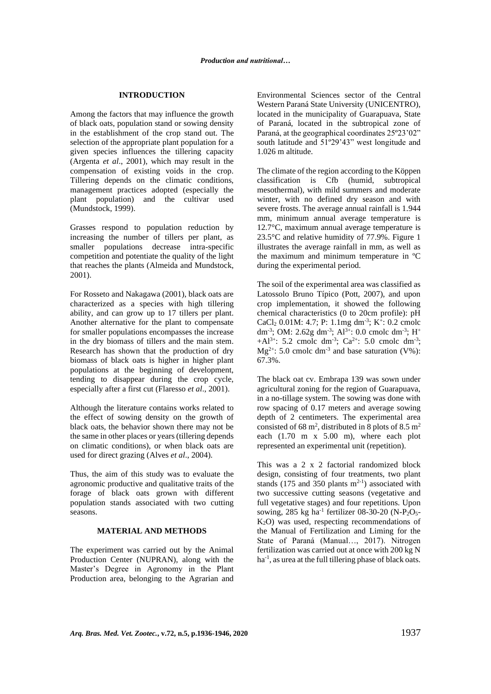### **INTRODUCTION**

Among the factors that may influence the growth of black oats, population stand or sowing density in the establishment of the crop stand out. The selection of the appropriate plant population for a given species influences the tillering capacity (Argenta *et al*., 2001), which may result in the compensation of existing voids in the crop. Tillering depends on the climatic conditions, management practices adopted (especially the plant population) and the cultivar used (Mundstock, 1999).

Grasses respond to population reduction by increasing the number of tillers per plant, as smaller populations decrease intra-specific competition and potentiate the quality of the light that reaches the plants (Almeida and Mundstock, 2001).

For Rosseto and Nakagawa (2001), black oats are characterized as a species with high tillering ability, and can grow up to 17 tillers per plant. Another alternative for the plant to compensate for smaller populations encompasses the increase in the dry biomass of tillers and the main stem. Research has shown that the production of dry biomass of black oats is higher in higher plant populations at the beginning of development, tending to disappear during the crop cycle, especially after a first cut (Flaresso *et al*., 2001).

Although the literature contains works related to the effect of sowing density on the growth of black oats, the behavior shown there may not be the same in other places or years (tillering depends on climatic conditions), or when black oats are used for direct grazing (Alves *et al*., 2004).

Thus, the aim of this study was to evaluate the agronomic productive and qualitative traits of the forage of black oats grown with different population stands associated with two cutting seasons.

# **MATERIAL AND METHODS**

The experiment was carried out by the Animal Production Center (NUPRAN), along with the Master's Degree in Agronomy in the Plant Production area, belonging to the Agrarian and Environmental Sciences sector of the Central Western Paraná State University (UNICENTRO), located in the municipality of Guarapuava, State of Paraná, located in the subtropical zone of Paraná, at the geographical coordinates 25º23'02" south latitude and 51º29'43" west longitude and 1.026 m altitude.

The climate of the region according to the Köppen classification is Cfb (humid, subtropical mesothermal), with mild summers and moderate winter, with no defined dry season and with severe frosts. The average annual rainfall is 1.944 mm, minimum annual average temperature is 12.7°C, maximum annual average temperature is 23.5°C and relative humidity of 77.9%. Figure 1 illustrates the average rainfall in mm, as well as the maximum and minimum temperature in ºC during the experimental period.

The soil of the experimental area was classified as Latossolo Bruno Típico (Pott, 2007), and upon crop implementation, it showed the following chemical characteristics (0 to 20cm profile): pH  $CaCl<sub>2</sub> 0.01M: 4.7; P: 1.1mg dm<sup>-3</sup>; K<sup>+</sup>: 0.2 cmolc$ dm<sup>-3</sup>; OM: 2.62g dm<sup>-3</sup>; Al<sup>3+</sup>: 0.0 cmolc dm<sup>-3</sup>; H<sup>+</sup>  $+A1^{3+}$ : 5.2 cmolc dm<sup>-3</sup>; Ca<sup>2+</sup>: 5.0 cmolc dm<sup>-3</sup>;  $Mg^{2+}$ : 5.0 cmolc dm<sup>-3</sup> and base saturation (V%): 67.3%.

The black oat cv. Embrapa 139 was sown under agricultural zoning for the region of Guarapuava, in a no-tillage system. The sowing was done with row spacing of 0.17 meters and average sowing depth of 2 centimeters. The experimental area consisted of 68 m<sup>2</sup>, distributed in 8 plots of 8.5 m<sup>2</sup> each (1.70 m x 5.00 m), where each plot represented an experimental unit (repetition).

This was a 2 x 2 factorial randomized block design, consisting of four treatments, two plant stands (175 and 350 plants  $m<sup>2-1</sup>$ ) associated with two successive cutting seasons (vegetative and full vegetative stages) and four repetitions. Upon sowing, 285 kg ha<sup>-1</sup> fertilizer 08-30-20 (N-P<sub>2</sub>O<sub>5</sub>-K2O) was used, respecting recommendations of the Manual of Fertilization and Liming for the State of Paraná (Manual…, 2017). Nitrogen fertilization was carried out at once with 200 kg N ha<sup>-1</sup>, as urea at the full tillering phase of black oats.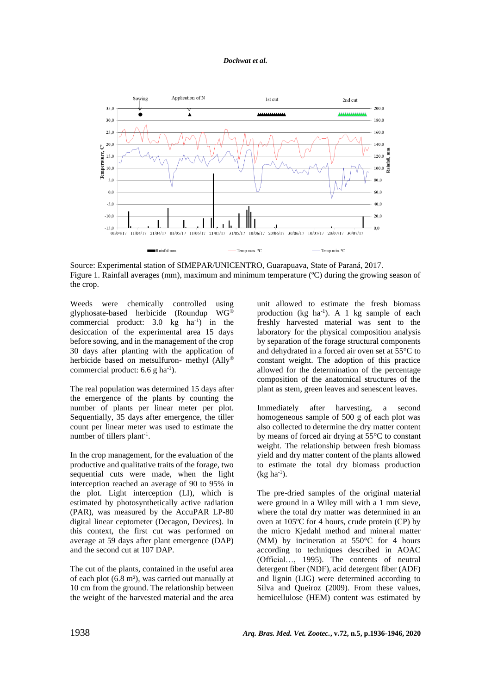*Dochwat et al.*



Source: Experimental station of SIMEPAR/UNICENTRO, Guarapuava, State of Paraná, 2017. Figure 1. Rainfall averages (mm), maximum and minimum temperature (ºC) during the growing season of the crop.

Weeds were chemically controlled using glyphosate-based herbicide (Roundup WG® commercial product:  $3.0 \text{ kg} \text{ ha}^{-1}$  in the desiccation of the experimental area 15 days before sowing, and in the management of the crop 30 days after planting with the application of herbicide based on metsulfuron- methyl (Ally® commercial product:  $6.6$  g ha<sup>-1</sup>).

The real population was determined 15 days after the emergence of the plants by counting the number of plants per linear meter per plot. Sequentially, 35 days after emergence, the tiller count per linear meter was used to estimate the number of tillers plant<sup>-1</sup>.

In the crop management, for the evaluation of the productive and qualitative traits of the forage, two sequential cuts were made, when the light interception reached an average of 90 to 95% in the plot. Light interception (LI), which is estimated by photosynthetically active radiation (PAR), was measured by the AccuPAR LP-80 digital linear ceptometer (Decagon, Devices). In this context, the first cut was performed on average at 59 days after plant emergence (DAP) and the second cut at 107 DAP.

The cut of the plants, contained in the useful area of each plot (6.8 m²), was carried out manually at 10 cm from the ground. The relationship between the weight of the harvested material and the area unit allowed to estimate the fresh biomass production ( $kg$  ha<sup>-1</sup>). A 1 kg sample of each freshly harvested material was sent to the laboratory for the physical composition analysis by separation of the forage structural components and dehydrated in a forced air oven set at 55°C to constant weight. The adoption of this practice allowed for the determination of the percentage composition of the anatomical structures of the plant as stem, green leaves and senescent leaves.

Immediately after harvesting, a second homogeneous sample of 500 g of each plot was also collected to determine the dry matter content by means of forced air drying at 55°C to constant weight. The relationship between fresh biomass yield and dry matter content of the plants allowed to estimate the total dry biomass production  $(kg ha^{-1})$ .

The pre-dried samples of the original material were ground in a Wiley mill with a 1 mm sieve, where the total dry matter was determined in an oven at 105ºC for 4 hours, crude protein (CP) by the micro Kjedahl method and mineral matter (MM) by incineration at 550°C for 4 hours according to techniques described in AOAC (Official…, 1995). The contents of neutral detergent fiber (NDF), acid detergent fiber (ADF) and lignin (LIG) were determined according to Silva and Queiroz (2009). From these values, hemicellulose (HEM) content was estimated by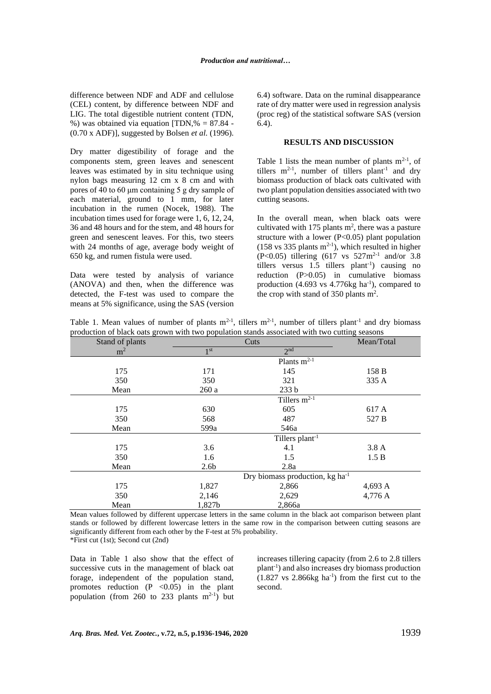difference between NDF and ADF and cellulose (CEL) content, by difference between NDF and LIG. The total digestible nutrient content (TDN, %) was obtained via equation  $[TDN, % = 87.84 -$ (0.70 x ADF)], suggested by Bolsen *et al.* (1996).

Dry matter digestibility of forage and the components stem, green leaves and senescent leaves was estimated by in situ technique using nylon bags measuring 12 cm x 8 cm and with pores of 40 to 60 μm containing 5 g dry sample of each material, ground to 1 mm, for later incubation in the rumen (Nocek, 1988). The incubation times used for forage were 1, 6, 12, 24, 36 and 48 hours and for the stem, and 48 hours for green and senescent leaves. For this, two steers with 24 months of age, average body weight of 650 kg, and rumen fistula were used.

Data were tested by analysis of variance (ANOVA) and then, when the difference was detected, the F-test was used to compare the means at 5% significance, using the SAS (version 6.4) software. Data on the ruminal disappearance rate of dry matter were used in regression analysis (proc reg) of the statistical software SAS (version 6.4).

# **RESULTS AND DISCUSSION**

Table 1 lists the mean number of plants  $m^{2-1}$ , of tillers  $m^{2-1}$ , number of tillers plant<sup>-1</sup> and dry biomass production of black oats cultivated with two plant population densities associated with two cutting seasons.

In the overall mean, when black oats were cultivated with 175 plants  $m^2$ , there was a pasture structure with a lower ( $P<0.05$ ) plant population  $(158 \text{ vs } 335 \text{ plants } \text{m}^{2-1})$ , which resulted in higher  $(P<0.05)$  tillering  $(617 \text{ vs } 527 \text{ m}^{2-1} \text{ and/or } 3.8)$ tillers versus 1.5 tillers plant<sup>-1</sup>) causing no reduction (P>0.05) in cumulative biomass production (4.693 vs  $4.776$ kg ha<sup>-1</sup>), compared to the crop with stand of 350 plants  $m^2$ .

|  |  |  |  |  |  |                                                                                               |  |  | Table 1. Mean values of number of plants $m^{2-1}$ , tillers $m^{2-1}$ , number of tillers plant <sup>-1</sup> and dry biomass |
|--|--|--|--|--|--|-----------------------------------------------------------------------------------------------|--|--|--------------------------------------------------------------------------------------------------------------------------------|
|  |  |  |  |  |  | production of black oats grown with two population stands associated with two cutting seasons |  |  |                                                                                                                                |

| Stand of plants |                  | Cuts                                        | Mean/Total |
|-----------------|------------------|---------------------------------------------|------------|
| m <sup>2</sup>  | 1 <sup>st</sup>  | 2 <sub>nd</sub>                             |            |
|                 |                  | Plants $m^{2-1}$                            |            |
| 175             | 171              | 145                                         | 158 B      |
| 350             | 350              | 321                                         | 335 A      |
| Mean            | 260a             | 233 b                                       |            |
|                 |                  | Tillers $m^{2-1}$                           |            |
| 175             | 630              | 605                                         | 617 A      |
| 350             | 568              | 487                                         | 527 B      |
| Mean            | 599a             | 546a                                        |            |
|                 |                  | Tillers plant <sup>-1</sup>                 |            |
| 175             | 3.6              | 4.1                                         | 3.8A       |
| 350             | 1.6              | 1.5                                         | 1.5 B      |
| Mean            | 2.6 <sub>b</sub> | 2.8a                                        |            |
|                 |                  | Dry biomass production, kg ha <sup>-1</sup> |            |
| 175             | 1,827            | 2,866                                       | 4,693 A    |
| 350             | 2,146            | 2,629                                       | 4,776 A    |
| Mean            | 1,827b           | 2,866a                                      |            |

Mean values followed by different uppercase letters in the same column in the black aot comparison between plant stands or followed by different lowercase letters in the same row in the comparison between cutting seasons are significantly different from each other by the F-test at 5% probability. \*First cut (1st); Second cut (2nd)

Data in Table 1 also show that the effect of successive cuts in the management of black oat forage, independent of the population stand, promotes reduction  $(P \le 0.05)$  in the plant population (from 260 to 233 plants  $m^{2-1}$ ) but increases tillering capacity (from 2.6 to 2.8 tillers plant-1 ) and also increases dry biomass production  $(1.827 \text{ vs } 2.866 \text{kg ha}^{-1})$  from the first cut to the second.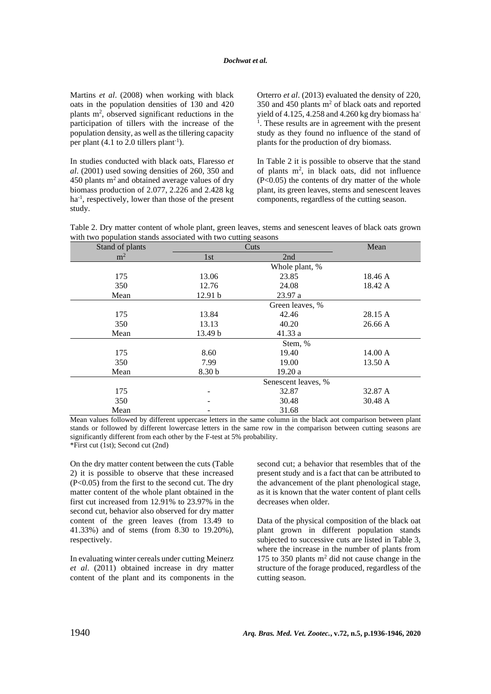Martins *et al*. (2008) when working with black oats in the population densities of 130 and 420 plants m<sup>2</sup>, observed significant reductions in the participation of tillers with the increase of the population density, as well as the tillering capacity per plant  $(4.1 \text{ to } 2.0 \text{ tillers plant}^{-1})$ .

In studies conducted with black oats, Flaresso *et al*. (2001) used sowing densities of 260, 350 and 450 plants  $m<sup>2</sup>$  and obtained average values of dry biomass production of 2.077, 2.226 and 2.428 kg ha<sup>-1</sup>, respectively, lower than those of the present study.

Orterro *et al*. (2013) evaluated the density of 220,  $350$  and  $450$  plants m<sup>2</sup> of black oats and reported yield of 4.125, 4.258 and 4.260 kg dry biomass ha-<sup>1</sup>. These results are in agreement with the present study as they found no influence of the stand of plants for the production of dry biomass.

In Table 2 it is possible to observe that the stand of plants  $m^2$ , in black oats, did not influence  $(P<0.05)$  the contents of dry matter of the whole plant, its green leaves, stems and senescent leaves components, regardless of the cutting season.

| Table 2. Dry matter content of whole plant, green leaves, stems and senescent leaves of black oats grown |  |  |  |  |
|----------------------------------------------------------------------------------------------------------|--|--|--|--|
| with two population stands associated with two cutting seasons                                           |  |  |  |  |

| Stand of plants |         | Cuts                | Mean    |
|-----------------|---------|---------------------|---------|
| m <sup>2</sup>  | 1st     | 2nd                 |         |
|                 |         | Whole plant, %      |         |
| 175             | 13.06   | 23.85               | 18.46 A |
| 350             | 12.76   | 24.08               | 18.42 A |
| Mean            | 12.91 b | 23.97 a             |         |
|                 |         | Green leaves, %     |         |
| 175             | 13.84   | 42.46               | 28.15 A |
| 350             | 13.13   | 40.20               | 26.66 A |
| Mean            | 13.49 b | 41.33a              |         |
|                 |         | Stem, %             |         |
| 175             | 8.60    | 19.40               | 14.00 A |
| 350             | 7.99    | 19.00               | 13.50 A |
| Mean            | 8.30 b  | 19.20a              |         |
|                 |         | Senescent leaves, % |         |
| 175             |         | 32.87               | 32.87 A |
| 350             |         | 30.48               | 30.48 A |
| Mean            |         | 31.68               |         |

Mean values followed by different uppercase letters in the same column in the black aot comparison between plant stands or followed by different lowercase letters in the same row in the comparison between cutting seasons are significantly different from each other by the F-test at 5% probability. \*First cut (1st); Second cut (2nd)

On the dry matter content between the cuts (Table 2) it is possible to observe that these increased (P<0.05) from the first to the second cut. The dry matter content of the whole plant obtained in the first cut increased from 12.91% to 23.97% in the second cut, behavior also observed for dry matter content of the green leaves (from 13.49 to 41.33%) and of stems (from 8.30 to 19.20%), respectively.

In evaluating winter cereals under cutting Meinerz *et al*. (2011) obtained increase in dry matter content of the plant and its components in the second cut; a behavior that resembles that of the present study and is a fact that can be attributed to the advancement of the plant phenological stage, as it is known that the water content of plant cells decreases when older.

Data of the physical composition of the black oat plant grown in different population stands subjected to successive cuts are listed in Table 3, where the increase in the number of plants from 175 to 350 plants  $m<sup>2</sup>$  did not cause change in the structure of the forage produced, regardless of the cutting season.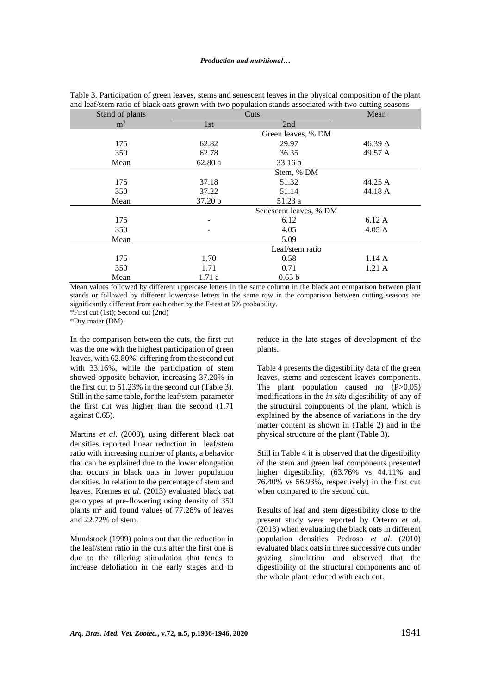| Stand of plants |         | Cuts                   | Mean             |
|-----------------|---------|------------------------|------------------|
| m <sup>2</sup>  | 1st     | 2nd                    |                  |
|                 |         | Green leaves, % DM     |                  |
| 175             | 62.82   | 29.97                  | 46.39 A          |
| 350             | 62.78   | 36.35                  | 49.57 A          |
| Mean            | 62.80a  | 33.16 <sub>b</sub>     |                  |
|                 |         | Stem, % DM             |                  |
| 175             | 37.18   | 51.32                  | 44.25 A          |
| 350             | 37.22   | 51.14                  | 44.18 A          |
| Mean            | 37.20 b | 51.23 a                |                  |
|                 |         | Senescent leaves, % DM |                  |
| 175             |         | 6.12                   | 6.12 A           |
| 350             |         | 4.05                   | $4.05 \text{ A}$ |
| Mean            |         | 5.09                   |                  |
|                 |         | Leaf/stem ratio        |                  |
| 175             | 1.70    | 0.58                   | 1.14A            |
| 350             | 1.71    | 0.71                   | 1.21A            |
| Mean            | 1.71a   | 0.65 b                 |                  |

Table 3. Participation of green leaves, stems and senescent leaves in the physical composition of the plant and leaf/stem ratio of black oats grown with two population stands associated with two cutting seasons

Mean values followed by different uppercase letters in the same column in the black aot comparison between plant stands or followed by different lowercase letters in the same row in the comparison between cutting seasons are significantly different from each other by the F-test at 5% probability.

\*First cut (1st); Second cut (2nd)

\*Dry mater (DM)

In the comparison between the cuts, the first cut was the one with the highest participation of green leaves, with 62.80%, differing from the second cut with 33.16%, while the participation of stem showed opposite behavior, increasing 37.20% in the first cut to 51.23% in the second cut (Table 3). Still in the same table, for the leaf/stem parameter the first cut was higher than the second (1.71 against 0.65).

Martins *et al*. (2008), using different black oat densities reported linear reduction in leaf/stem ratio with increasing number of plants, a behavior that can be explained due to the lower elongation that occurs in black oats in lower population densities. In relation to the percentage of stem and leaves. Kremes *et al*. (2013) evaluated black oat genotypes at pre-flowering using density of 350 plants m<sup>2</sup> and found values of 77.28% of leaves and 22.72% of stem.

Mundstock (1999) points out that the reduction in the leaf/stem ratio in the cuts after the first one is due to the tillering stimulation that tends to increase defoliation in the early stages and to

reduce in the late stages of development of the plants.

Table 4 presents the digestibility data of the green leaves, stems and senescent leaves components. The plant population caused no  $(P>0.05)$ modifications in the *in situ* digestibility of any of the structural components of the plant, which is explained by the absence of variations in the dry matter content as shown in (Table 2) and in the physical structure of the plant (Table 3).

Still in Table 4 it is observed that the digestibility of the stem and green leaf components presented higher digestibility, (63.76% vs 44.11% and 76.40% vs 56.93%, respectively) in the first cut when compared to the second cut.

Results of leaf and stem digestibility close to the present study were reported by Orterro *et al*. (2013) when evaluating the black oats in different population densities. Pedroso *et al*. (2010) evaluated black oats in three successive cuts under grazing simulation and observed that the digestibility of the structural components and of the whole plant reduced with each cut.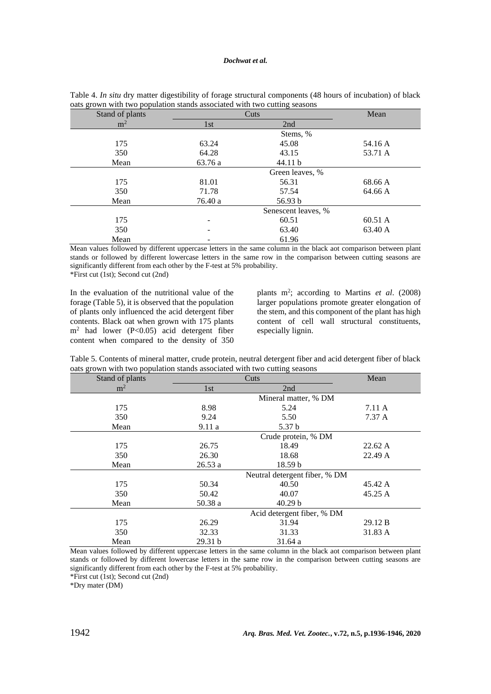| Stand of plants |         | Cuts                |         |  |
|-----------------|---------|---------------------|---------|--|
| m <sup>2</sup>  | 1st     | 2nd                 |         |  |
|                 |         | Stems, %            |         |  |
| 175             | 63.24   | 45.08               | 54.16 A |  |
| 350             | 64.28   | 43.15               | 53.71 A |  |
| Mean            | 63.76 a | 44.11 b             |         |  |
|                 |         | Green leaves, %     |         |  |
| 175             | 81.01   | 56.31               | 68.66 A |  |
| 350             | 71.78   | 57.54               | 64.66 A |  |
| Mean            | 76.40 a | 56.93 b             |         |  |
|                 |         | Senescent leaves, % |         |  |
| 175             |         | 60.51               | 60.51 A |  |
| 350             |         | 63.40               | 63.40 A |  |
| Mean            |         | 61.96               |         |  |

Table 4. *In situ* dry matter digestibility of forage structural components (48 hours of incubation) of black oats grown with two population stands associated with two cutting seasons

Mean values followed by different uppercase letters in the same column in the black aot comparison between plant stands or followed by different lowercase letters in the same row in the comparison between cutting seasons are significantly different from each other by the F-test at 5% probability. \*First cut (1st); Second cut (2nd)

In the evaluation of the nutritional value of the forage (Table 5), it is observed that the population of plants only influenced the acid detergent fiber contents. Black oat when grown with 175 plants  $m<sup>2</sup>$  had lower (P<0.05) acid detergent fiber content when compared to the density of 350

plants m<sup>2</sup>; according to Martins et al. (2008) larger populations promote greater elongation of the stem, and this component of the plant has high content of cell wall structural constituents, especially lignin.

| Table 5. Contents of mineral matter, crude protein, neutral detergent fiber and acid detergent fiber of black |  |  |  |
|---------------------------------------------------------------------------------------------------------------|--|--|--|
| oats grown with two population stands associated with two cutting seasons                                     |  |  |  |

| Stand of plants |         | Cuts                          | Mean    |
|-----------------|---------|-------------------------------|---------|
| m <sup>2</sup>  | 1st     | 2nd                           |         |
|                 |         | Mineral matter, % DM          |         |
| 175             | 8.98    | 5.24                          | 7.11 A  |
| 350             | 9.24    | 5.50                          | 7.37A   |
| Mean            | 9.11a   | 5.37 <sub>b</sub>             |         |
|                 |         | Crude protein, % DM           |         |
| 175             | 26.75   | 18.49                         | 22.62 A |
| 350             | 26.30   | 18.68                         | 22.49 A |
| Mean            | 26.53a  | 18.59 <sub>b</sub>            |         |
|                 |         | Neutral detergent fiber, % DM |         |
| 175             | 50.34   | 40.50                         | 45.42 A |
| 350             | 50.42   | 40.07                         | 45.25 A |
| Mean            | 50.38 a | 40.29 <sub>b</sub>            |         |
|                 |         | Acid detergent fiber, % DM    |         |
| 175             | 26.29   | 31.94                         | 29.12 B |
| 350             | 32.33   | 31.33                         | 31.83 A |
| Mean            | 29.31 b | 31.64 a                       |         |

Mean values followed by different uppercase letters in the same column in the black aot comparison between plant stands or followed by different lowercase letters in the same row in the comparison between cutting seasons are significantly different from each other by the F-test at 5% probability.

\*First cut (1st); Second cut (2nd)

\*Dry mater (DM)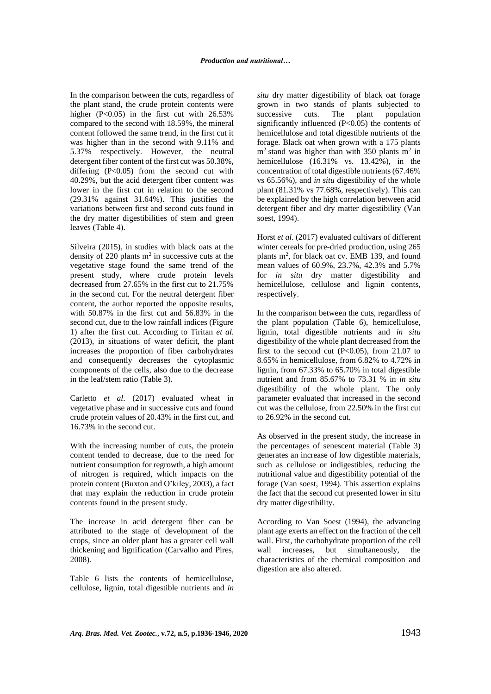In the comparison between the cuts, regardless of the plant stand, the crude protein contents were higher  $(P<0.05)$  in the first cut with 26.53% compared to the second with 18.59%, the mineral content followed the same trend, in the first cut it was higher than in the second with 9.11% and 5.37% respectively. However, the neutral detergent fiber content of the first cut was 50.38%, differing  $(P<0.05)$  from the second cut with 40.29%, but the acid detergent fiber content was lower in the first cut in relation to the second (29.31% against 31.64%). This justifies the variations between first and second cuts found in the dry matter digestibilities of stem and green leaves (Table 4).

Silveira (2015), in studies with black oats at the density of 220 plants  $m<sup>2</sup>$  in successive cuts at the vegetative stage found the same trend of the present study, where crude protein levels decreased from 27.65% in the first cut to 21.75% in the second cut. For the neutral detergent fiber content, the author reported the opposite results, with 50.87% in the first cut and 56.83% in the second cut, due to the low rainfall indices (Figure 1) after the first cut. According to Tiritan *et al*. (2013), in situations of water deficit, the plant increases the proportion of fiber carbohydrates and consequently decreases the cytoplasmic components of the cells, also due to the decrease in the leaf/stem ratio (Table 3).

Carletto *et al*. (2017) evaluated wheat in vegetative phase and in successive cuts and found crude protein values of 20.43% in the first cut, and 16.73% in the second cut.

With the increasing number of cuts, the protein content tended to decrease, due to the need for nutrient consumption for regrowth, a high amount of nitrogen is required, which impacts on the protein content (Buxton and O'kiley, 2003), a fact that may explain the reduction in crude protein contents found in the present study.

The increase in acid detergent fiber can be attributed to the stage of development of the crops, since an older plant has a greater cell wall thickening and lignification (Carvalho and Pires, 2008).

Table 6 lists the contents of hemicellulose, cellulose, lignin, total digestible nutrients and *in* 

*situ* dry matter digestibility of black oat forage grown in two stands of plants subjected to successive cuts. The plant population significantly influenced (P<0.05) the contents of hemicellulose and total digestible nutrients of the forage. Black oat when grown with a 175 plants  $m<sup>2</sup>$  stand was higher than with 350 plants m<sup>2</sup> in hemicellulose  $(16.31\% \text{ vs. } 13.42\%)$ , in the concentration of total digestible nutrients (67.46% vs 65.56%), and *in situ* digestibility of the whole plant (81.31% vs 77.68%, respectively). This can be explained by the high correlation between acid detergent fiber and dry matter digestibility (Van soest, 1994).

Horst *et al*. (2017) evaluated cultivars of different winter cereals for pre-dried production, using 265 plants m<sup>2</sup>, for black oat cv. EMB 139, and found mean values of 60.9%, 23.7%, 42.3% and 5.7% for *in situ* dry matter digestibility and hemicellulose, cellulose and lignin contents, respectively.

In the comparison between the cuts, regardless of the plant population (Table 6), hemicellulose, lignin, total digestible nutrients and *in situ* digestibility of the whole plant decreased from the first to the second cut  $(P<0.05)$ , from 21.07 to 8.65% in hemicellulose, from 6.82% to 4.72% in lignin, from 67.33% to 65.70% in total digestible nutrient and from 85.67% to 73.31 % in *in situ* digestibility of the whole plant. The only parameter evaluated that increased in the second cut was the cellulose, from 22.50% in the first cut to 26.92% in the second cut.

As observed in the present study, the increase in the percentages of senescent material (Table 3) generates an increase of low digestible materials, such as cellulose or indigestibles, reducing the nutritional value and digestibility potential of the forage (Van soest, 1994). This assertion explains the fact that the second cut presented lower in situ dry matter digestibility.

According to Van Soest (1994), the advancing plant age exerts an effect on the fraction of the cell wall. First, the carbohydrate proportion of the cell wall increases, but simultaneously, the characteristics of the chemical composition and digestion are also altered.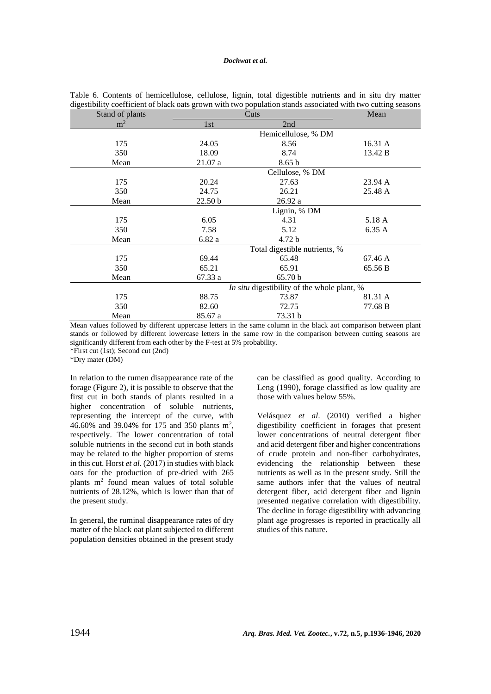# *Dochwat et al.*

| Stand of plants |                    | Cuts                                        |         |  |  |  |
|-----------------|--------------------|---------------------------------------------|---------|--|--|--|
| m <sup>2</sup>  | 1st                | 2nd                                         |         |  |  |  |
|                 |                    | Hemicellulose, % DM                         |         |  |  |  |
| 175             | 24.05              | 8.56                                        | 16.31 A |  |  |  |
| 350             | 18.09              | 8.74                                        | 13.42 B |  |  |  |
| Mean            | 21.07a             | 8.65 <sub>b</sub>                           |         |  |  |  |
|                 |                    | Cellulose, % DM                             |         |  |  |  |
| 175             | 20.24              | 27.63                                       | 23.94 A |  |  |  |
| 350             | 24.75              | 26.21                                       | 25.48 A |  |  |  |
| Mean            | 22.50 <sub>b</sub> | 26.92 a                                     |         |  |  |  |
|                 |                    | Lignin, % DM                                |         |  |  |  |
| 175             | 6.05               | 4.31                                        | 5.18 A  |  |  |  |
| 350             | 7.58               | 5.12                                        | 6.35A   |  |  |  |
| Mean            | 6.82a              | 4.72 <sub>b</sub>                           |         |  |  |  |
|                 |                    | Total digestible nutrients, %               |         |  |  |  |
| 175             | 69.44              | 65.48                                       | 67.46 A |  |  |  |
| 350             | 65.21              | 65.91                                       | 65.56 B |  |  |  |
| Mean            | 67.33 a            | 65.70 b                                     |         |  |  |  |
|                 |                    | In situ digestibility of the whole plant, % |         |  |  |  |
| 175             | 88.75              | 73.87                                       | 81.31 A |  |  |  |
| 350             | 82.60              | 72.75                                       | 77.68 B |  |  |  |
| Mean            | 85.67 a            | 73.31 b                                     |         |  |  |  |

Table 6. Contents of hemicellulose, cellulose, lignin, total digestible nutrients and in situ dry matter digestibility coefficient of black oats grown with two population stands associated with two cutting seasons

Mean values followed by different uppercase letters in the same column in the black aot comparison between plant stands or followed by different lowercase letters in the same row in the comparison between cutting seasons are significantly different from each other by the F-test at 5% probability. \*First cut (1st); Second cut (2nd)

\*Dry mater (DM)

In relation to the rumen disappearance rate of the forage (Figure 2), it is possible to observe that the first cut in both stands of plants resulted in a higher concentration of soluble nutrients, representing the intercept of the curve, with 46.60% and 39.04% for 175 and 350 plants m<sup>2</sup> , respectively. The lower concentration of total soluble nutrients in the second cut in both stands may be related to the higher proportion of stems in this cut. Horst *et al*. (2017) in studies with black oats for the production of pre-dried with 265 plants m<sup>2</sup> found mean values of total soluble nutrients of 28.12%, which is lower than that of the present study.

In general, the ruminal disappearance rates of dry matter of the black oat plant subjected to different population densities obtained in the present study can be classified as good quality. According to Leng (1990), forage classified as low quality are those with values below 55%.

Velásquez *et al*. (2010) verified a higher digestibility coefficient in forages that present lower concentrations of neutral detergent fiber and acid detergent fiber and higher concentrations of crude protein and non-fiber carbohydrates, evidencing the relationship between these nutrients as well as in the present study. Still the same authors infer that the values of neutral detergent fiber, acid detergent fiber and lignin presented negative correlation with digestibility. The decline in forage digestibility with advancing plant age progresses is reported in practically all studies of this nature.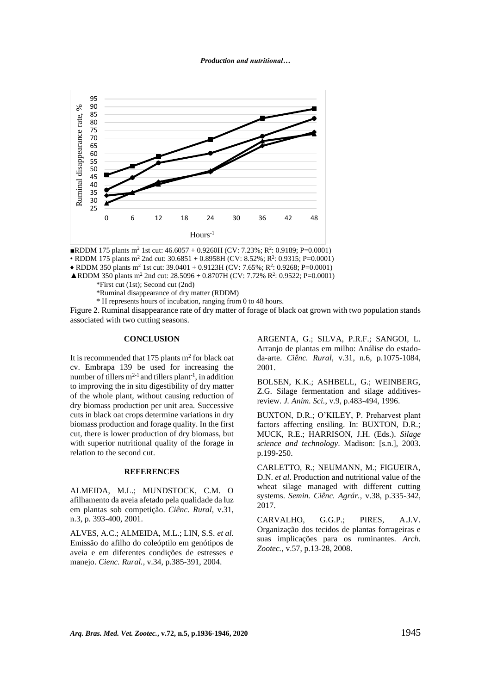*Production and nutritional…*



**RDDM** 175 plants m<sup>2</sup> 1st cut:  $46.6057 + 0.9260H$  (CV: 7.23%; R<sup>2</sup>: 0.9189; P=0.0001) • RDDM 175 plants m<sup>2</sup> 2nd cut:  $30.6851 + 0.8958H$  (CV:  $8.52\%$ ; R<sup>2</sup>: 0.9315; P=0.0001)  $\blacklozenge$  RDDM 350 plants m<sup>2</sup> 1st cut: 39.0401 + 0.9123H (CV: 7.65%; R<sup>2</sup>: 0.9268; P=0.0001) **ARDDM 350 plants m<sup>2</sup> 2nd cut: 28.5096 + 0.8707H (CV: 7.72% R<sup>2</sup>: 0.9522; P=0.0001)** 

\*First cut (1st); Second cut (2nd)

\*Ruminal disappearance of dry matter (RDDM)

\* H represents hours of incubation, ranging from 0 to 48 hours.

Figure 2. Ruminal disappearance rate of dry matter of forage of black oat grown with two population stands associated with two cutting seasons.

### **CONCLUSION**

It is recommended that 175 plants  $m<sup>2</sup>$  for black oat cv. Embrapa 139 be used for increasing the number of tillers  $m^{2-1}$  and tillers plant<sup>-1</sup>, in addition to improving the in situ digestibility of dry matter of the whole plant, without causing reduction of dry biomass production per unit area. Successive cuts in black oat crops determine variations in dry biomass production and forage quality. In the first cut, there is lower production of dry biomass, but with superior nutritional quality of the forage in relation to the second cut.

#### **REFERENCES**

ALMEIDA, M.L.; MUNDSTOCK, C.M. O afilhamento da aveia afetado pela qualidade da luz em plantas sob competição. *Ciênc. Rural*, v.31, n.3, p. 393-400, 2001.

ALVES, A.C.; ALMEIDA, M.L.; LIN, S.S. *et al*. Emissão do afilho do coleóptilo em genótipos de aveia e em diferentes condições de estresses e manejo. *Cienc. Rural.*, v.34, p.385-391, 2004.

ARGENTA, G.; SILVA, P.R.F.; SANGOI, L. Arranjo de plantas em milho: Análise do estadoda-arte. *Ciênc. Rural*, v.31, n.6, p.1075-1084, 2001.

BOLSEN, K.K.; ASHBELL, G.; WEINBERG, Z.G. Silage fermentation and silage additivesreview. *J. Anim. Sci.*, v.9, p.483-494, 1996.

BUXTON, D.R.; O'KILEY, P. Preharvest plant factors affecting ensiling. In: BUXTON, D.R.; MUCK, R.E.; HARRISON, J.H. (Eds.). *Silage science and technology*. Madison: [s.n.], 2003. p.199-250.

CARLETTO, R.; NEUMANN, M.; FIGUEIRA, D.N. *et al*. Production and nutritional value of the wheat silage managed with different cutting systems. *Semin. Ciênc. Agrár.,* v.38, p.335-342, 2017.

CARVALHO, G.G.P.; PIRES, A.J.V. Organização dos tecidos de plantas forrageiras e suas implicações para os ruminantes. *Arch. Zootec.*, v.57, p.13-28, 2008.